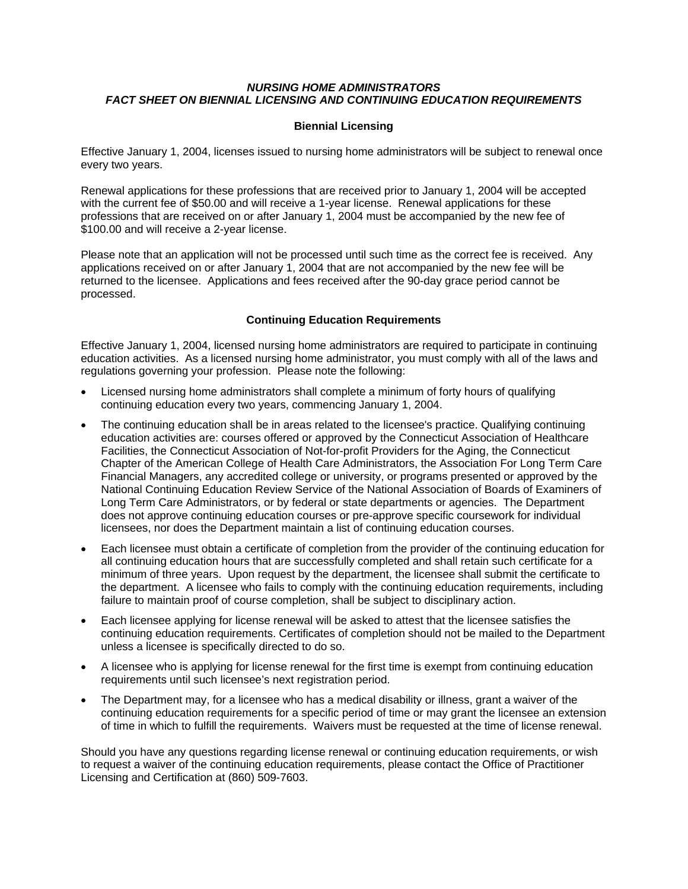## *NURSING HOME ADMINISTRATORS FACT SHEET ON BIENNIAL LICENSING AND CONTINUING EDUCATION REQUIREMENTS*

## **Biennial Licensing**

Effective January 1, 2004, licenses issued to nursing home administrators will be subject to renewal once every two years.

Renewal applications for these professions that are received prior to January 1, 2004 will be accepted with the current fee of \$50.00 and will receive a 1-year license. Renewal applications for these professions that are received on or after January 1, 2004 must be accompanied by the new fee of \$100.00 and will receive a 2-year license.

Please note that an application will not be processed until such time as the correct fee is received. Any applications received on or after January 1, 2004 that are not accompanied by the new fee will be returned to the licensee. Applications and fees received after the 90-day grace period cannot be processed.

## **Continuing Education Requirements**

Effective January 1, 2004, licensed nursing home administrators are required to participate in continuing education activities. As a licensed nursing home administrator, you must comply with all of the laws and regulations governing your profession. Please note the following:

- Licensed nursing home administrators shall complete a minimum of forty hours of qualifying continuing education every two years, commencing January 1, 2004.
- The continuing education shall be in areas related to the licensee's practice. Qualifying continuing education activities are: courses offered or approved by the Connecticut Association of Healthcare Facilities, the Connecticut Association of Not-for-profit Providers for the Aging, the Connecticut Chapter of the American College of Health Care Administrators, the Association For Long Term Care Financial Managers, any accredited college or university, or programs presented or approved by the National Continuing Education Review Service of the National Association of Boards of Examiners of Long Term Care Administrators, or by federal or state departments or agencies. The Department does not approve continuing education courses or pre-approve specific coursework for individual licensees, nor does the Department maintain a list of continuing education courses.
- Each licensee must obtain a certificate of completion from the provider of the continuing education for all continuing education hours that are successfully completed and shall retain such certificate for a minimum of three years. Upon request by the department, the licensee shall submit the certificate to the department. A licensee who fails to comply with the continuing education requirements, including failure to maintain proof of course completion, shall be subject to disciplinary action.
- Each licensee applying for license renewal will be asked to attest that the licensee satisfies the continuing education requirements. Certificates of completion should not be mailed to the Department unless a licensee is specifically directed to do so.
- A licensee who is applying for license renewal for the first time is exempt from continuing education requirements until such licensee's next registration period.
- The Department may, for a licensee who has a medical disability or illness, grant a waiver of the continuing education requirements for a specific period of time or may grant the licensee an extension of time in which to fulfill the requirements. Waivers must be requested at the time of license renewal.

Should you have any questions regarding license renewal or continuing education requirements, or wish to request a waiver of the continuing education requirements, please contact the Office of Practitioner Licensing and Certification at (860) 509-7603.